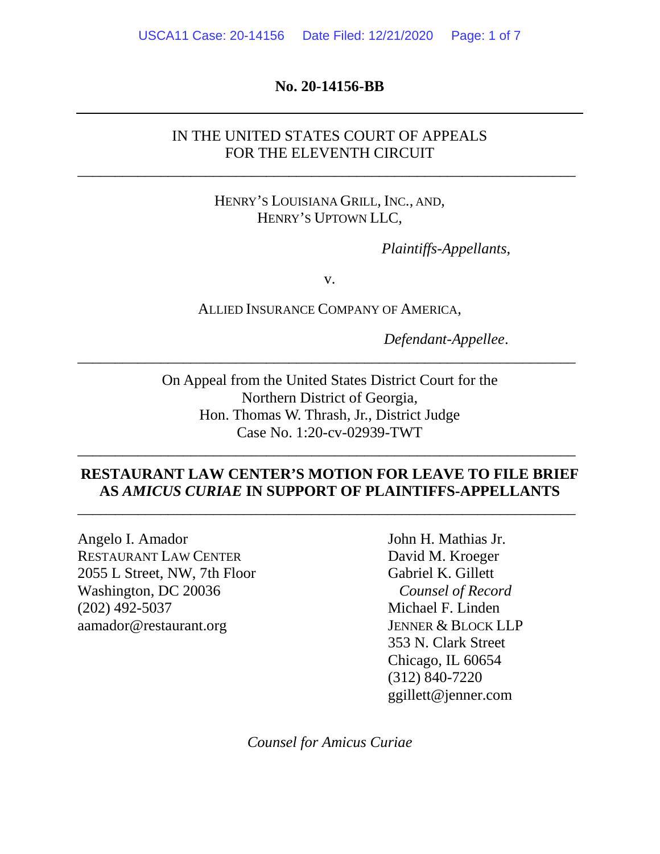#### **No. 20-14156-BB**

## IN THE UNITED STATES COURT OF APPEALS FOR THE ELEVENTH CIRCUIT

\_\_\_\_\_\_\_\_\_\_\_\_\_\_\_\_\_\_\_\_\_\_\_\_\_\_\_\_\_\_\_\_\_\_\_\_\_\_\_\_\_\_\_\_\_\_\_\_\_\_\_\_\_\_\_\_\_\_\_\_\_\_\_\_\_\_

## HENRY'S LOUISIANA GRILL, INC., AND, HENRY'S UPTOWN LLC,

*Plaintiffs-Appellants*,

v.

ALLIED INSURANCE COMPANY OF AMERICA,

\_\_\_\_\_\_\_\_\_\_\_\_\_\_\_\_\_\_\_\_\_\_\_\_\_\_\_\_\_\_\_\_\_\_\_\_\_\_\_\_\_\_\_\_\_\_\_\_\_\_\_\_\_\_\_\_\_\_\_\_\_\_\_\_\_\_

*Defendant-Appellee*.

On Appeal from the United States District Court for the Northern District of Georgia, Hon. Thomas W. Thrash, Jr., District Judge Case No. 1:20-cv-02939-TWT

## **RESTAURANT LAW CENTER'S MOTION FOR LEAVE TO FILE BRIEF AS** *AMICUS CURIAE* **IN SUPPORT OF PLAINTIFFS-APPELLANTS**

\_\_\_\_\_\_\_\_\_\_\_\_\_\_\_\_\_\_\_\_\_\_\_\_\_\_\_\_\_\_\_\_\_\_\_\_\_\_\_\_\_\_\_\_\_\_\_\_\_\_\_\_\_\_\_\_\_\_\_\_\_\_\_\_\_\_

\_\_\_\_\_\_\_\_\_\_\_\_\_\_\_\_\_\_\_\_\_\_\_\_\_\_\_\_\_\_\_\_\_\_\_\_\_\_\_\_\_\_\_\_\_\_\_\_\_\_\_\_\_\_\_\_\_\_\_\_\_\_\_\_\_\_

Angelo I. Amador John H. Mathias Jr. RESTAURANT LAW CENTER David M. Kroeger 2055 L Street, NW, 7th Floor Gabriel K. Gillett Washington, DC 20036 *Counsel of Record* (202) 492-5037 Michael F. Linden aamador@restaurant.org JENNER & BLOCK LLP

353 N. Clark Street Chicago, IL 60654 (312) 840-7220 ggillett@jenner.com

*Counsel for Amicus Curiae*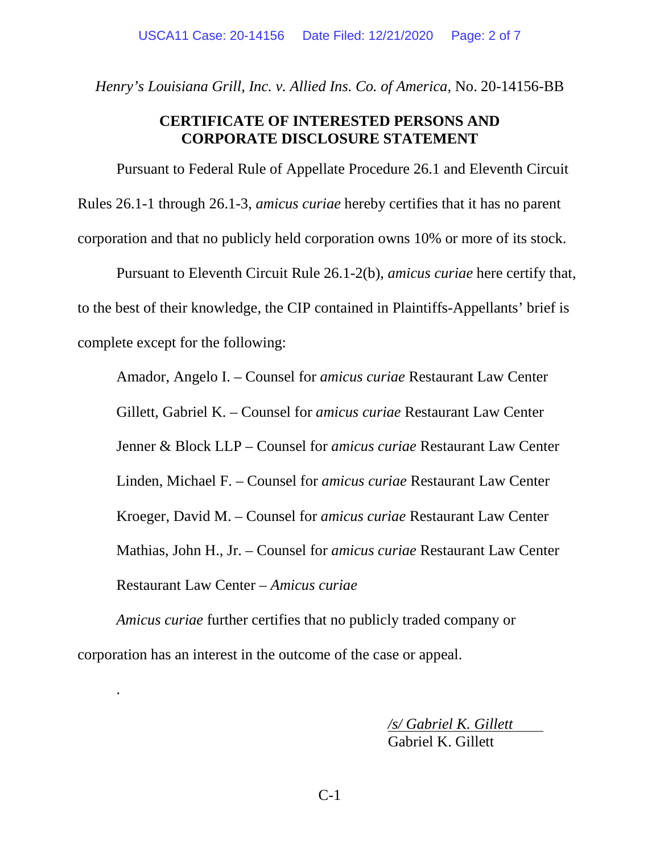*Henry's Louisiana Grill, Inc. v. Allied Ins. Co. of America,* No. 20-14156-BB

## **CERTIFICATE OF INTERESTED PERSONS AND CORPORATE DISCLOSURE STATEMENT**

Pursuant to Federal Rule of Appellate Procedure 26.1 and Eleventh Circuit Rules 26.1-1 through 26.1-3, *amicus curiae* hereby certifies that it has no parent corporation and that no publicly held corporation owns 10% or more of its stock.

Pursuant to Eleventh Circuit Rule 26.1-2(b), *amicus curiae* here certify that, to the best of their knowledge, the CIP contained in Plaintiffs-Appellants' brief is complete except for the following:

Amador, Angelo I. – Counsel for *amicus curiae* Restaurant Law Center

Gillett, Gabriel K. – Counsel for *amicus curiae* Restaurant Law Center

Jenner & Block LLP – Counsel for *amicus curiae* Restaurant Law Center

Linden, Michael F. – Counsel for *amicus curiae* Restaurant Law Center

Kroeger, David M. – Counsel for *amicus curiae* Restaurant Law Center

Mathias, John H., Jr. – Counsel for *amicus curiae* Restaurant Law Center

Restaurant Law Center – *Amicus curiae* 

.

*Amicus curiae* further certifies that no publicly traded company or corporation has an interest in the outcome of the case or appeal.

> */s/ Gabriel K. Gillett*  Gabriel K. Gillett

C-1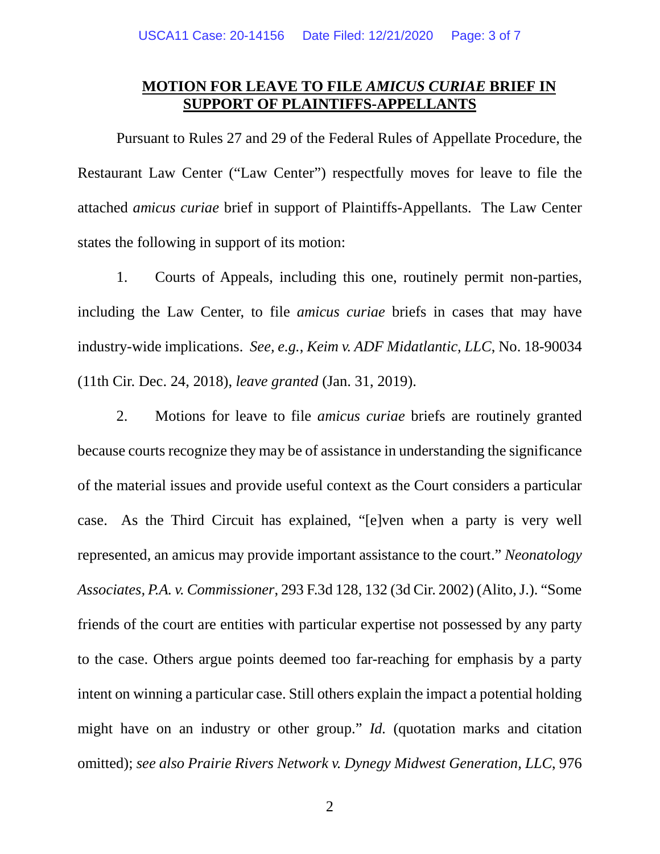# **MOTION FOR LEAVE TO FILE** *AMICUS CURIAE* **BRIEF IN SUPPORT OF PLAINTIFFS-APPELLANTS**

Pursuant to Rules 27 and 29 of the Federal Rules of Appellate Procedure, the Restaurant Law Center ("Law Center") respectfully moves for leave to file the attached *amicus curiae* brief in support of Plaintiffs-Appellants. The Law Center states the following in support of its motion:

1. Courts of Appeals, including this one, routinely permit non-parties, including the Law Center, to file *amicus curiae* briefs in cases that may have industry-wide implications. *See, e.g.*, *Keim v. ADF Midatlantic, LLC*, No. 18-90034 (11th Cir. Dec. 24, 2018), *leave granted* (Jan. 31, 2019).

2. Motions for leave to file *amicus curiae* briefs are routinely granted because courts recognize they may be of assistance in understanding the significance of the material issues and provide useful context as the Court considers a particular case. As the Third Circuit has explained, "[e]ven when a party is very well represented, an amicus may provide important assistance to the court." *Neonatology Associates, P.A. v. Commissioner*, 293 F.3d 128, 132 (3d Cir. 2002) (Alito, J.). "Some friends of the court are entities with particular expertise not possessed by any party to the case. Others argue points deemed too far-reaching for emphasis by a party intent on winning a particular case. Still others explain the impact a potential holding might have on an industry or other group." *Id.* (quotation marks and citation omitted); *see also Prairie Rivers Network v. Dynegy Midwest Generation, LLC*, 976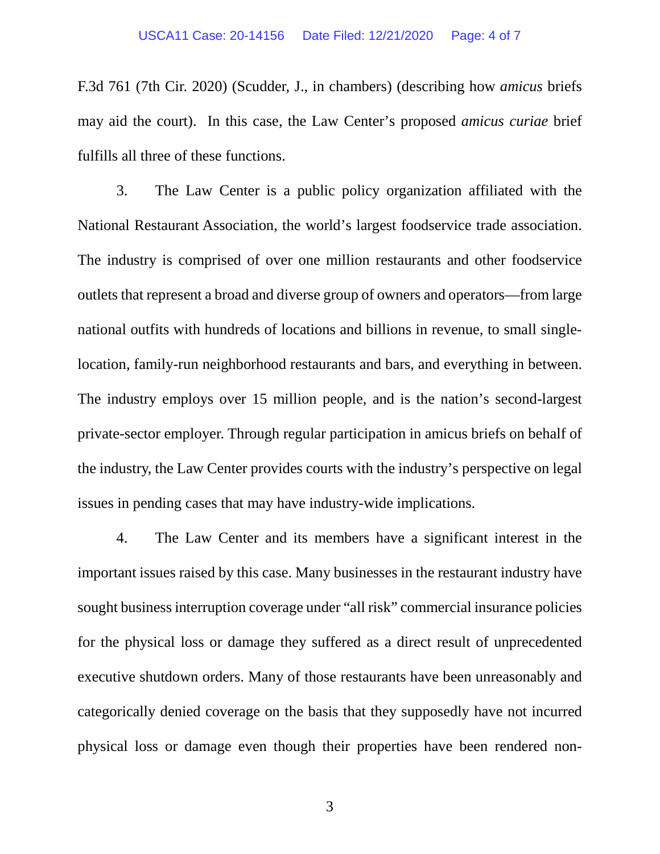F.3d 761 (7th Cir. 2020) (Scudder, J., in chambers) (describing how *amicus* briefs may aid the court). In this case, the Law Center's proposed *amicus curiae* brief fulfills all three of these functions.

3. The Law Center is a public policy organization affiliated with the National Restaurant Association, the world's largest foodservice trade association. The industry is comprised of over one million restaurants and other foodservice outlets that represent a broad and diverse group of owners and operators—from large national outfits with hundreds of locations and billions in revenue, to small singlelocation, family-run neighborhood restaurants and bars, and everything in between. The industry employs over 15 million people, and is the nation's second-largest private-sector employer. Through regular participation in amicus briefs on behalf of the industry, the Law Center provides courts with the industry's perspective on legal issues in pending cases that may have industry-wide implications.

4. The Law Center and its members have a significant interest in the important issues raised by this case. Many businesses in the restaurant industry have sought business interruption coverage under "all risk" commercial insurance policies for the physical loss or damage they suffered as a direct result of unprecedented executive shutdown orders. Many of those restaurants have been unreasonably and categorically denied coverage on the basis that they supposedly have not incurred physical loss or damage even though their properties have been rendered non-

3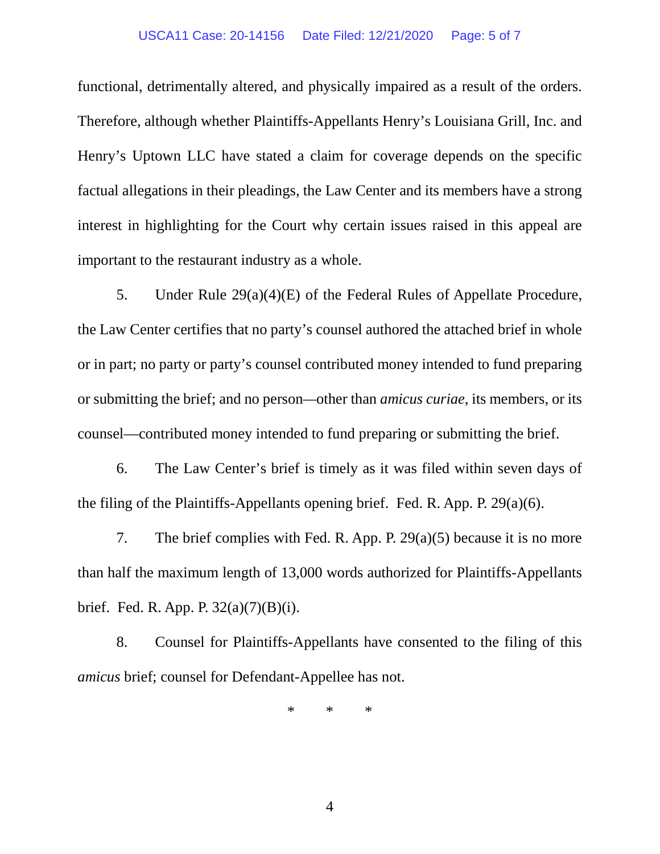#### USCA11 Case: 20-14156 Date Filed: 12/21/2020 Page: 5 of 7

functional, detrimentally altered, and physically impaired as a result of the orders. Therefore, although whether Plaintiffs-Appellants Henry's Louisiana Grill, Inc. and Henry's Uptown LLC have stated a claim for coverage depends on the specific factual allegations in their pleadings, the Law Center and its members have a strong interest in highlighting for the Court why certain issues raised in this appeal are important to the restaurant industry as a whole.

5. Under Rule 29(a)(4)(E) of the Federal Rules of Appellate Procedure, the Law Center certifies that no party's counsel authored the attached brief in whole or in part; no party or party's counsel contributed money intended to fund preparing or submitting the brief; and no person*—*other than *amicus curiae*, its members, or its counsel—contributed money intended to fund preparing or submitting the brief.

6. The Law Center's brief is timely as it was filed within seven days of the filing of the Plaintiffs-Appellants opening brief. Fed. R. App. P. 29(a)(6).

7. The brief complies with Fed. R. App. P. 29(a)(5) because it is no more than half the maximum length of 13,000 words authorized for Plaintiffs-Appellants brief. Fed. R. App. P. 32(a)(7)(B)(i).

8. Counsel for Plaintiffs-Appellants have consented to the filing of this *amicus* brief; counsel for Defendant-Appellee has not.

\* \* \*

4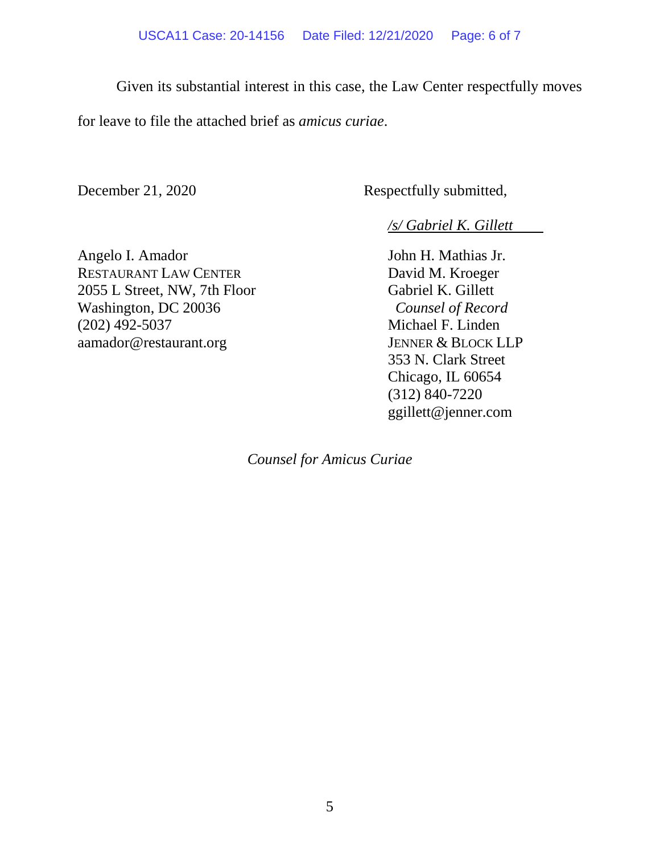Given its substantial interest in this case, the Law Center respectfully moves

for leave to file the attached brief as *amicus curiae*.

December 21, 2020 Respectfully submitted,

*/s/ Gabriel K. Gillett* 

Angelo I. Amador John H. Mathias Jr. RESTAURANT LAW CENTER David M. Kroeger 2055 L Street, NW, 7th Floor Gabriel K. Gillett Washington, DC 20036 *Counsel of Record* (202) 492-5037 Michael F. Linden aamador@restaurant.org JENNER & BLOCK LLP

353 N. Clark Street Chicago, IL 60654 (312) 840-7220 ggillett@jenner.com

*Counsel for Amicus Curiae*